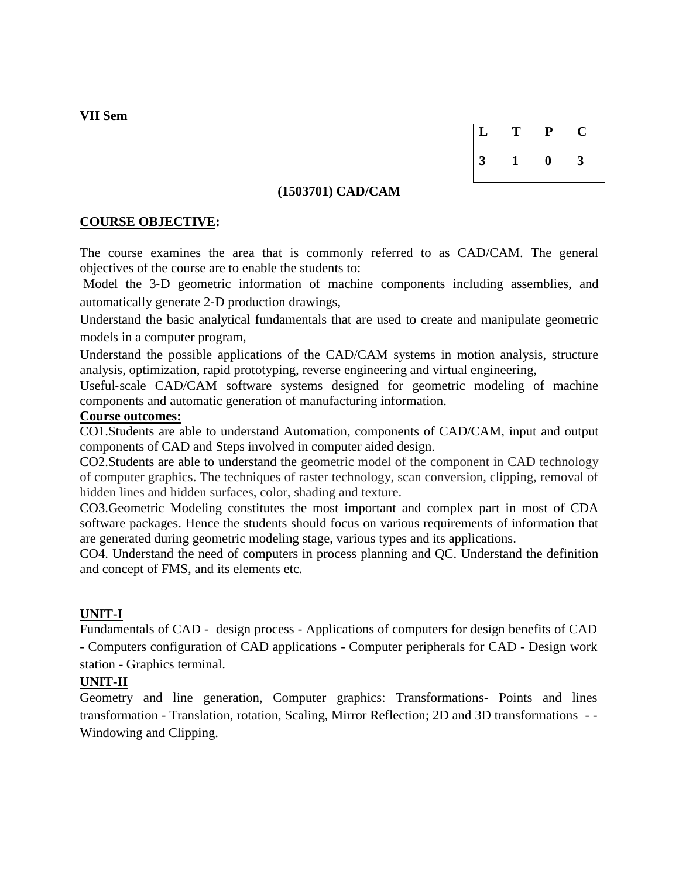**VII Sem**

| ⊔ | т | P | U |
|---|---|---|---|
| 3 |   | Ш | 3 |

### **(1503701) CAD/CAM**

### **COURSE OBJECTIVE:**

The course examines the area that is commonly referred to as CAD/CAM. The general objectives of the course are to enable the students to:

Model the 3-D geometric information of machine components including assemblies, and automatically generate 2‐D production drawings,

Understand the basic analytical fundamentals that are used to create and manipulate geometric models in a computer program,

Understand the possible applications of the CAD/CAM systems in motion analysis, structure analysis, optimization, rapid prototyping, reverse engineering and virtual engineering,

Useful‐scale CAD/CAM software systems designed for geometric modeling of machine components and automatic generation of manufacturing information.

### **Course outcomes:**

CO1.Students are able to understand Automation, components of CAD/CAM, input and output components of CAD and Steps involved in computer aided design.

CO2.Students are able to understand the geometric model of the component in CAD technology of computer graphics. The techniques of raster technology, scan conversion, clipping, removal of hidden lines and hidden surfaces, color, shading and texture.

CO3.Geometric Modeling constitutes the most important and complex part in most of CDA software packages. Hence the students should focus on various requirements of information that are generated during geometric modeling stage, various types and its applications.

CO4. Understand the need of computers in process planning and QC. Understand the definition and concept of FMS, and its elements etc*.*

### **UNIT-I**

Fundamentals of CAD - design process - Applications of computers for design benefits of CAD - Computers configuration of CAD applications - Computer peripherals for CAD - Design work station - Graphics terminal.

### **UNIT-II**

Geometry and line generation, Computer graphics: Transformations- Points and lines transformation - Translation, rotation, Scaling, Mirror Reflection; 2D and 3D transformations - - Windowing and Clipping.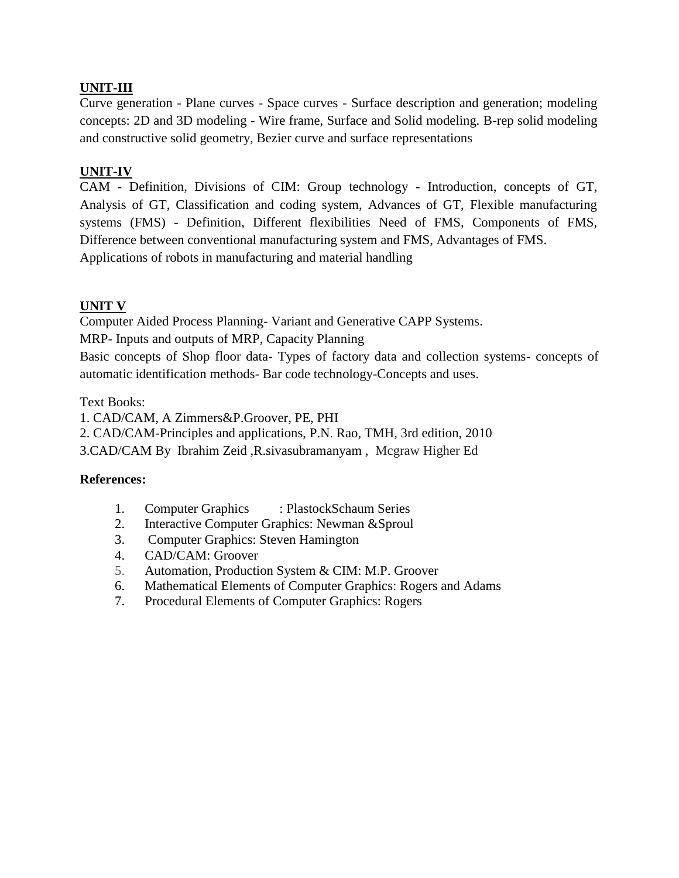# **UNIT-III**

Curve generation - Plane curves - Space curves - Surface description and generation; modeling concepts: 2D and 3D modeling - Wire frame, Surface and Solid modeling. B-rep solid modeling and constructive solid geometry, Bezier curve and surface representations

# **UNIT-IV**

CAM - Definition, Divisions of CIM: Group technology - Introduction, concepts of GT, Analysis of GT, Classification and coding system, Advances of GT, Flexible manufacturing systems (FMS) - Definition, Different flexibilities Need of FMS, Components of FMS, Difference between conventional manufacturing system and FMS, Advantages of FMS. Applications of robots in manufacturing and material handling

# **UNIT V**

Computer Aided Process Planning- Variant and Generative CAPP Systems.

MRP- Inputs and outputs of MRP, Capacity Planning

Basic concepts of Shop floor data- Types of factory data and collection systems- concepts of automatic identification methods- Bar code technology-Concepts and uses.

## Text Books:

1. CAD/CAM, A Zimmers&P.Groover, PE, PHI

2. CAD/CAM-Principles and applications, P.N. Rao, TMH, 3rd edition, 2010

3.CAD/CAM By Ibrahim Zeid ,R.sivasubramanyam , Mcgraw Higher Ed

### **References:**

- 1. Computer Graphics : PlastockSchaum Series
- 2. Interactive Computer Graphics: Newman &Sproul
- 3. Computer Graphics: Steven Hamington
- 4. CAD/CAM: Groover
- 5. Automation, Production System & CIM: M.P. Groover
- 6. Mathematical Elements of Computer Graphics: Rogers and Adams
- 7. Procedural Elements of Computer Graphics: Rogers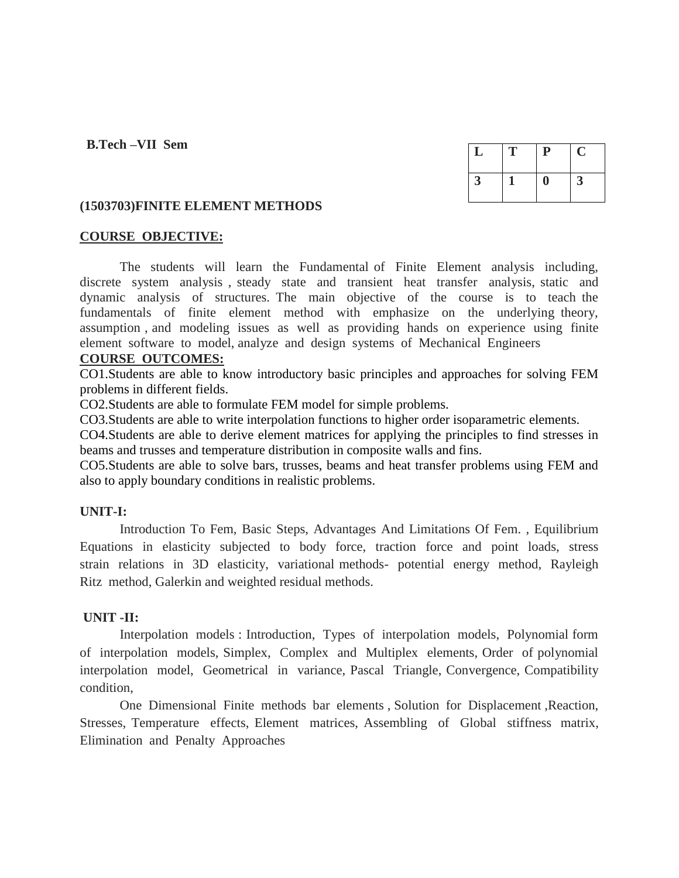### **B.Tech –VII Sem**

| ┻ | т | ${\bf P}$ | Ü |
|---|---|-----------|---|
| 3 |   |           | 3 |

### **(1503703)FINITE ELEMENT METHODS**

### **COURSE OBJECTIVE:**

The students will learn the Fundamental of Finite Element analysis including, discrete system analysis , steady state and transient heat transfer analysis, static and dynamic analysis of structures. The main objective of the course is to teach the fundamentals of finite element method with emphasize on the underlying theory, assumption , and modeling issues as well as providing hands on experience using finite element software to model, analyze and design systems of Mechanical Engineers

### **COURSE OUTCOMES:**

CO1.Students are able to know introductory basic principles and approaches for solving FEM problems in different fields.

CO2.Students are able to formulate FEM model for simple problems.

CO3.Students are able to write interpolation functions to higher order isoparametric elements.

CO4.Students are able to derive element matrices for applying the principles to find stresses in beams and trusses and temperature distribution in composite walls and fins.

CO5.Students are able to solve bars, trusses, beams and heat transfer problems using FEM and also to apply boundary conditions in realistic problems.

### **UNIT-I:**

Introduction To Fem, Basic Steps, Advantages And Limitations Of Fem. , Equilibrium Equations in elasticity subjected to body force, traction force and point loads, stress strain relations in 3D elasticity, variational methods- potential energy method, Rayleigh Ritz method, Galerkin and weighted residual methods.

### **UNIT -II:**

Interpolation models : Introduction, Types of interpolation models, Polynomial form of interpolation models, Simplex, Complex and Multiplex elements, Order of polynomial interpolation model, Geometrical in variance, Pascal Triangle, Convergence, Compatibility condition,

One Dimensional Finite methods bar elements , Solution for Displacement ,Reaction, Stresses, Temperature effects, Element matrices, Assembling of Global stiffness matrix, Elimination and Penalty Approaches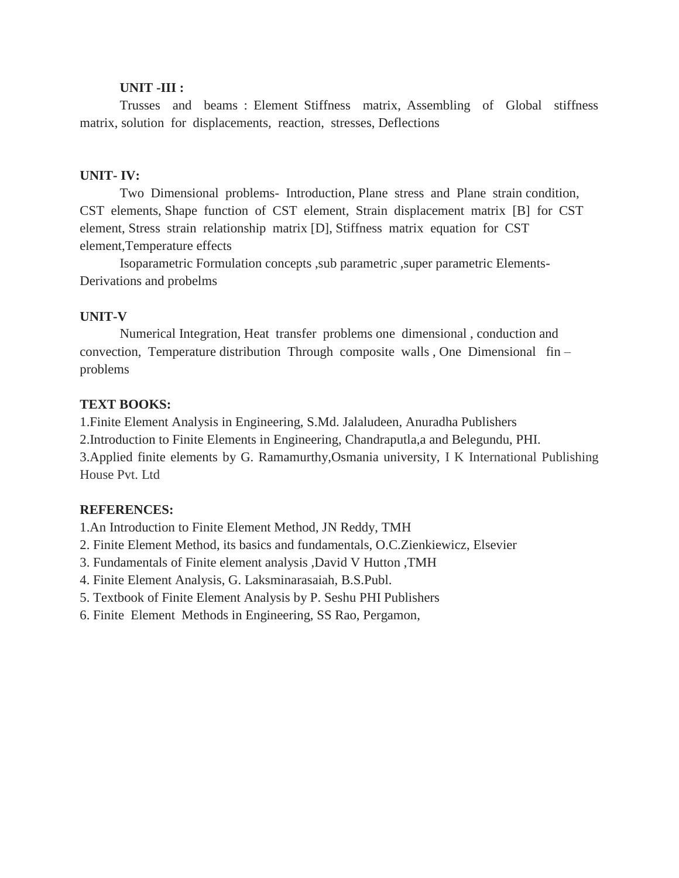### **UNIT -III :**

Trusses and beams : Element Stiffness matrix, Assembling of Global stiffness matrix, solution for displacements, reaction, stresses, Deflections

### **UNIT- IV:**

Two Dimensional problems- Introduction, Plane stress and Plane strain condition, CST elements, Shape function of CST element, Strain displacement matrix [B] for CST element, Stress strain relationship matrix [D], Stiffness matrix equation for CST element,Temperature effects

Isoparametric Formulation concepts ,sub parametric ,super parametric Elements-Derivations and probelms

### **UNIT-V**

Numerical Integration, Heat transfer problems one dimensional , conduction and convection, Temperature distribution Through composite walls , One Dimensional fin – problems

## **TEXT BOOKS:**

1.Finite Element Analysis in Engineering, S.Md. Jalaludeen, Anuradha Publishers

2.Introduction to Finite Elements in Engineering, Chandraputla,a and Belegundu, PHI.

3.Applied finite elements by G. Ramamurthy,Osmania university, I K International Publishing House Pvt. Ltd

# **REFERENCES:**

1.An Introduction to Finite Element Method, JN Reddy, TMH

- 2. Finite Element Method, its basics and fundamentals, O.C.Zienkiewicz, Elsevier
- 3. Fundamentals of Finite element analysis ,David V Hutton ,TMH
- 4. Finite Element Analysis, G. Laksminarasaiah, B.S.Publ.
- 5. Textbook of Finite Element Analysis by P. Seshu PHI Publishers
- 6. Finite Element Methods in Engineering, SS Rao, Pergamon,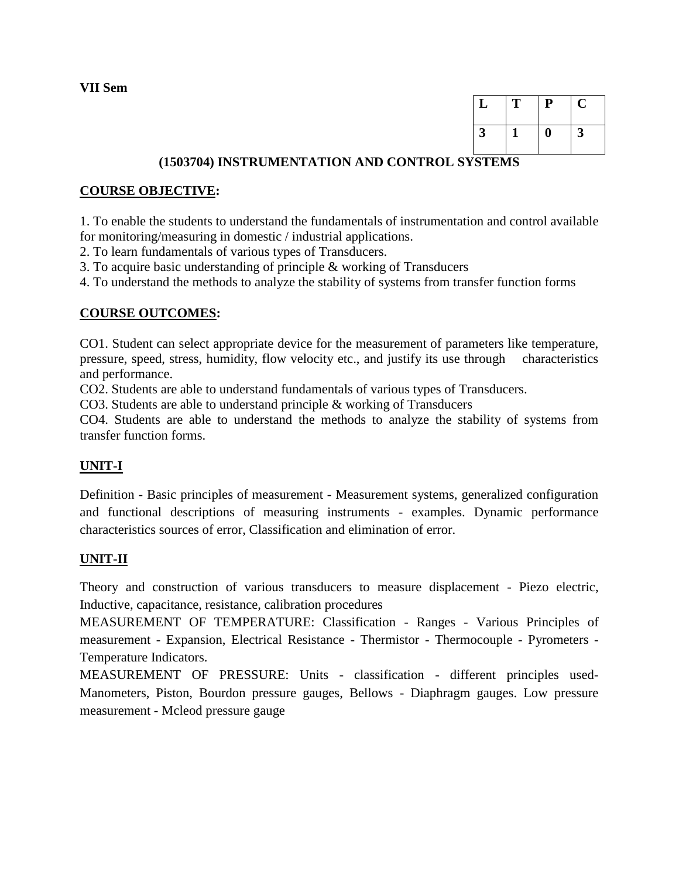**VII Sem**

| L            | T | ${\bf P}$ | U            |
|--------------|---|-----------|--------------|
| $\mathbf{3}$ |   | V         | $\mathbf{3}$ |

# **(1503704) INSTRUMENTATION AND CONTROL SYSTEMS**

## **COURSE OBJECTIVE:**

1. To enable the students to understand the fundamentals of instrumentation and control available for monitoring/measuring in domestic / industrial applications.

2. To learn fundamentals of various types of Transducers.

3. To acquire basic understanding of principle & working of Transducers

4. To understand the methods to analyze the stability of systems from transfer function forms

## **COURSE OUTCOMES:**

CO1. Student can select appropriate device for the measurement of parameters like temperature, pressure, speed, stress, humidity, flow velocity etc., and justify its use through characteristics and performance.

CO2. Students are able to understand fundamentals of various types of Transducers.

CO3. Students are able to understand principle & working of Transducers

CO4. Students are able to understand the methods to analyze the stability of systems from transfer function forms.

# **UNIT-I**

Definition - Basic principles of measurement - Measurement systems, generalized configuration and functional descriptions of measuring instruments - examples. Dynamic performance characteristics sources of error, Classification and elimination of error.

# **UNIT-II**

Theory and construction of various transducers to measure displacement - Piezo electric, Inductive, capacitance, resistance, calibration procedures

MEASUREMENT OF TEMPERATURE: Classification - Ranges - Various Principles of measurement - Expansion, Electrical Resistance - Thermistor - Thermocouple - Pyrometers - Temperature Indicators.

MEASUREMENT OF PRESSURE: Units - classification - different principles used-Manometers, Piston, Bourdon pressure gauges, Bellows - Diaphragm gauges. Low pressure measurement - Mcleod pressure gauge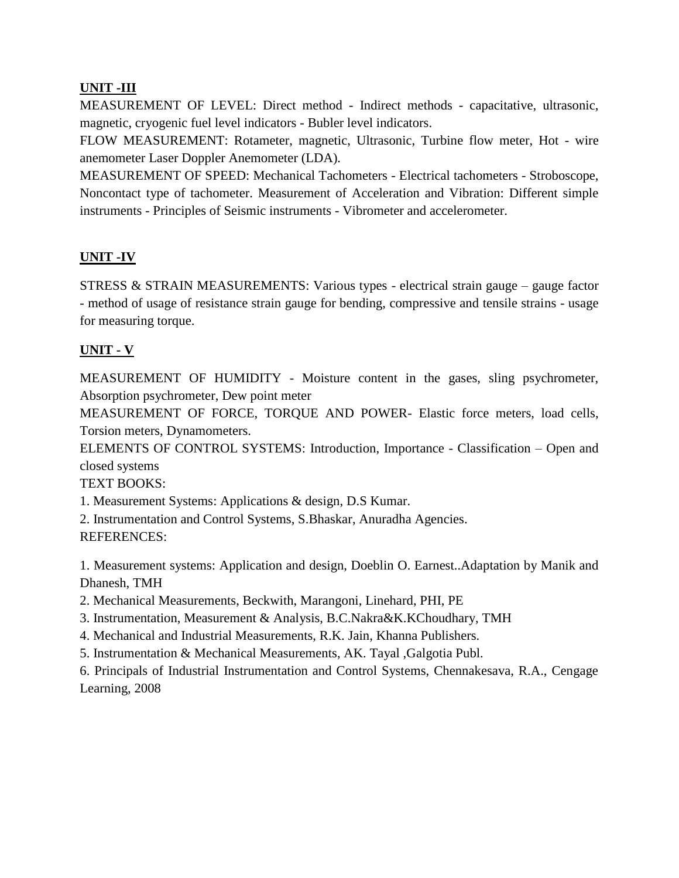# **UNIT -III**

MEASUREMENT OF LEVEL: Direct method - Indirect methods - capacitative, ultrasonic, magnetic, cryogenic fuel level indicators - Bubler level indicators.

FLOW MEASUREMENT: Rotameter, magnetic, Ultrasonic, Turbine flow meter, Hot - wire anemometer Laser Doppler Anemometer (LDA).

MEASUREMENT OF SPEED: Mechanical Tachometers - Electrical tachometers - Stroboscope, Noncontact type of tachometer. Measurement of Acceleration and Vibration: Different simple instruments - Principles of Seismic instruments - Vibrometer and accelerometer.

# **UNIT -IV**

STRESS & STRAIN MEASUREMENTS: Various types - electrical strain gauge – gauge factor - method of usage of resistance strain gauge for bending, compressive and tensile strains - usage for measuring torque.

# **UNIT - V**

MEASUREMENT OF HUMIDITY - Moisture content in the gases, sling psychrometer, Absorption psychrometer, Dew point meter

MEASUREMENT OF FORCE, TORQUE AND POWER- Elastic force meters, load cells, Torsion meters, Dynamometers.

ELEMENTS OF CONTROL SYSTEMS: Introduction, Importance - Classification – Open and closed systems

TEXT BOOKS:

1. Measurement Systems: Applications & design, D.S Kumar.

2. Instrumentation and Control Systems, S.Bhaskar, Anuradha Agencies. REFERENCES:

1. Measurement systems: Application and design, Doeblin O. Earnest..Adaptation by Manik and Dhanesh, TMH

2. Mechanical Measurements, Beckwith, Marangoni, Linehard, PHI, PE

3. Instrumentation, Measurement & Analysis, B.C.Nakra&K.KChoudhary, TMH

4. Mechanical and Industrial Measurements, R.K. Jain, Khanna Publishers.

5. Instrumentation & Mechanical Measurements, AK. Tayal ,Galgotia Publ.

6. Principals of Industrial Instrumentation and Control Systems, Chennakesava, R.A., Cengage Learning, 2008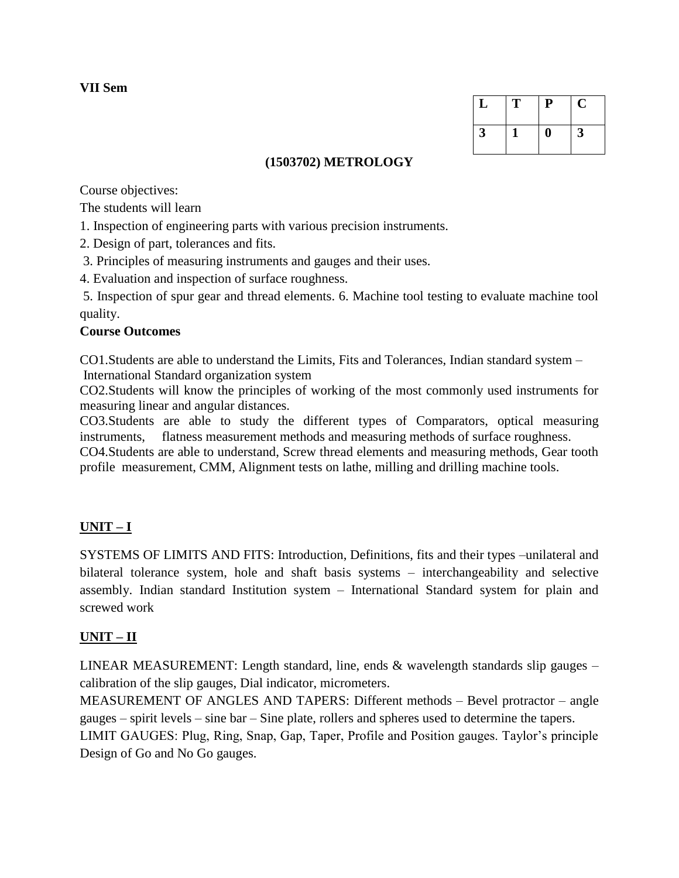**VII Sem**

| L | т | ${\bf P}$ | U |
|---|---|-----------|---|
| 3 |   |           | 3 |

# **(1503702) METROLOGY**

Course objectives:

The students will learn

1. Inspection of engineering parts with various precision instruments.

2. Design of part, tolerances and fits.

3. Principles of measuring instruments and gauges and their uses.

4. Evaluation and inspection of surface roughness.

5. Inspection of spur gear and thread elements. 6. Machine tool testing to evaluate machine tool quality.

## **Course Outcomes**

CO1.Students are able to understand the Limits, Fits and Tolerances, Indian standard system – International Standard organization system

CO2.Students will know the principles of working of the most commonly used instruments for measuring linear and angular distances.

CO3.Students are able to study the different types of Comparators, optical measuring instruments, flatness measurement methods and measuring methods of surface roughness.

CO4.Students are able to understand, Screw thread elements and measuring methods, Gear tooth profile measurement, CMM, Alignment tests on lathe, milling and drilling machine tools.

# **UNIT – I**

SYSTEMS OF LIMITS AND FITS: Introduction, Definitions, fits and their types –unilateral and bilateral tolerance system, hole and shaft basis systems – interchangeability and selective assembly. Indian standard Institution system – International Standard system for plain and screwed work

# **UNIT – II**

LINEAR MEASUREMENT: Length standard, line, ends  $\&$  wavelength standards slip gauges – calibration of the slip gauges, Dial indicator, micrometers.

MEASUREMENT OF ANGLES AND TAPERS: Different methods – Bevel protractor – angle gauges – spirit levels – sine bar – Sine plate, rollers and spheres used to determine the tapers. LIMIT GAUGES: Plug, Ring, Snap, Gap, Taper, Profile and Position gauges. Taylor's principle Design of Go and No Go gauges.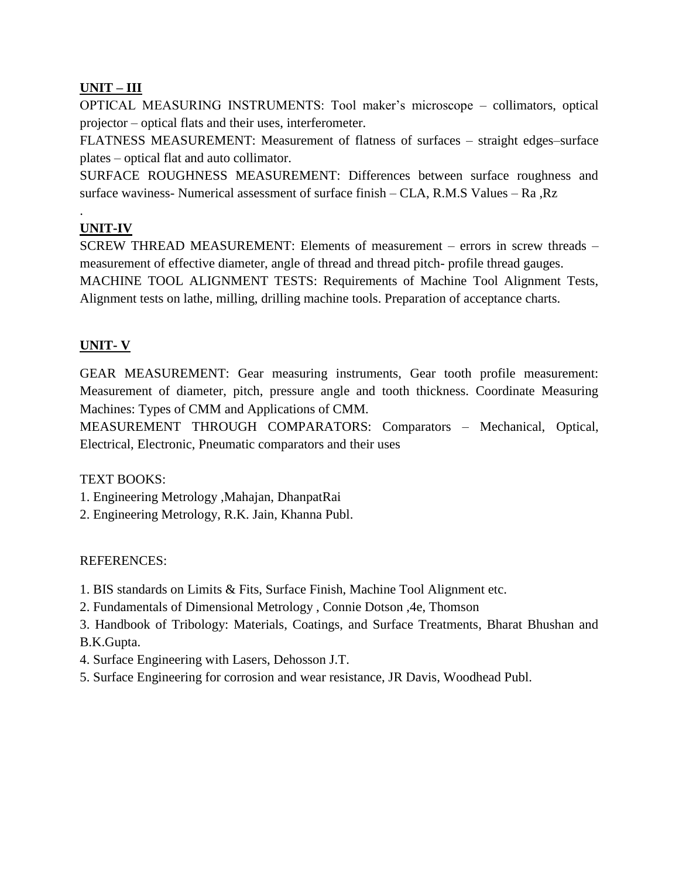# **UNIT – III**

OPTICAL MEASURING INSTRUMENTS: Tool maker's microscope – collimators, optical projector – optical flats and their uses, interferometer.

FLATNESS MEASUREMENT: Measurement of flatness of surfaces – straight edges–surface plates – optical flat and auto collimator.

SURFACE ROUGHNESS MEASUREMENT: Differences between surface roughness and surface waviness- Numerical assessment of surface finish – CLA, R.M.S Values – Ra ,Rz

# **UNIT-IV**

.

SCREW THREAD MEASUREMENT: Elements of measurement – errors in screw threads – measurement of effective diameter, angle of thread and thread pitch- profile thread gauges.

MACHINE TOOL ALIGNMENT TESTS: Requirements of Machine Tool Alignment Tests, Alignment tests on lathe, milling, drilling machine tools. Preparation of acceptance charts.

# **UNIT- V**

GEAR MEASUREMENT: Gear measuring instruments, Gear tooth profile measurement: Measurement of diameter, pitch, pressure angle and tooth thickness. Coordinate Measuring Machines: Types of CMM and Applications of CMM.

MEASUREMENT THROUGH COMPARATORS: Comparators – Mechanical, Optical, Electrical, Electronic, Pneumatic comparators and their uses

# TEXT BOOKS:

- 1. Engineering Metrology ,Mahajan, DhanpatRai
- 2. Engineering Metrology, R.K. Jain, Khanna Publ.

# REFERENCES:

- 1. BIS standards on Limits & Fits, Surface Finish, Machine Tool Alignment etc.
- 2. Fundamentals of Dimensional Metrology , Connie Dotson ,4e, Thomson
- 3. Handbook of Tribology: Materials, Coatings, and Surface Treatments, Bharat Bhushan and

# B.K.Gupta.

- 4. Surface Engineering with Lasers, Dehosson J.T.
- 5. Surface Engineering for corrosion and wear resistance, JR Davis, Woodhead Publ.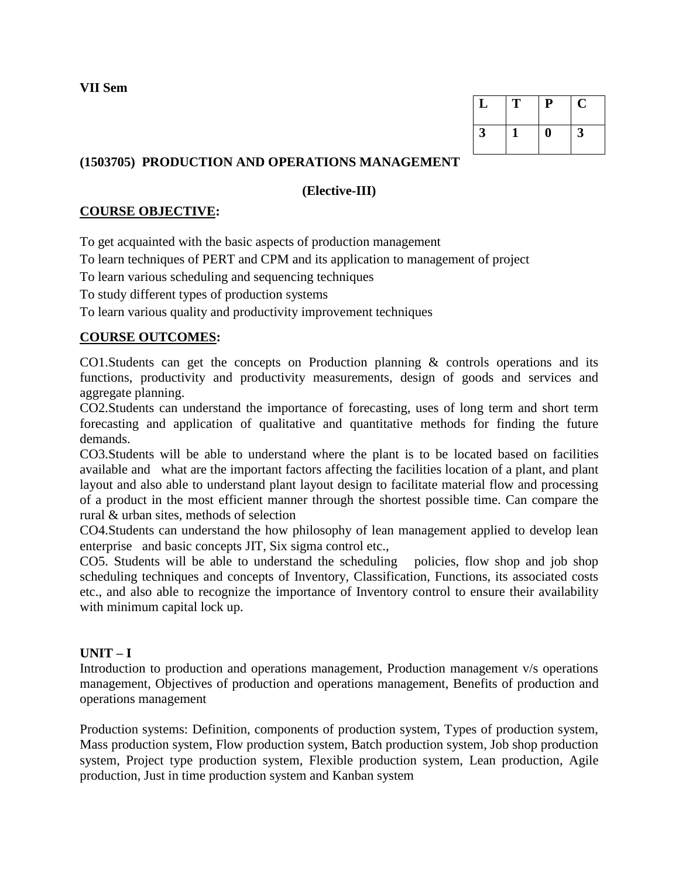**VII Sem**

| ப | т | ${\bf P}$ | Ü |
|---|---|-----------|---|
| 3 |   |           | 3 |

# **(1503705) PRODUCTION AND OPERATIONS MANAGEMENT**

## **(Elective-III)**

# **COURSE OBJECTIVE:**

To get acquainted with the basic aspects of production management

To learn techniques of PERT and CPM and its application to management of project

To learn various scheduling and sequencing techniques

To study different types of production systems

To learn various quality and productivity improvement techniques

# **COURSE OUTCOMES:**

CO1.Students can get the concepts on Production planning & controls operations and its functions, productivity and productivity measurements, design of goods and services and aggregate planning.

CO2.Students can understand the importance of forecasting, uses of long term and short term forecasting and application of qualitative and quantitative methods for finding the future demands.

CO3.Students will be able to understand where the plant is to be located based on facilities available and what are the important factors affecting the facilities location of a plant, and plant layout and also able to understand plant layout design to facilitate material flow and processing of a product in the most efficient manner through the shortest possible time. Can compare the rural & urban sites, methods of selection

CO4.Students can understand the how philosophy of lean management applied to develop lean enterprise and basic concepts JIT, Six sigma control etc.,

CO5. Students will be able to understand the scheduling policies, flow shop and job shop scheduling techniques and concepts of Inventory, Classification, Functions, its associated costs etc., and also able to recognize the importance of Inventory control to ensure their availability with minimum capital lock up.

# **UNIT – I**

Introduction to production and operations management, Production management v/s operations management, Objectives of production and operations management, Benefits of production and operations management

Production systems: Definition, components of production system, Types of production system, Mass production system, Flow production system, Batch production system, Job shop production system, Project type production system, Flexible production system, Lean production, Agile production, Just in time production system and Kanban system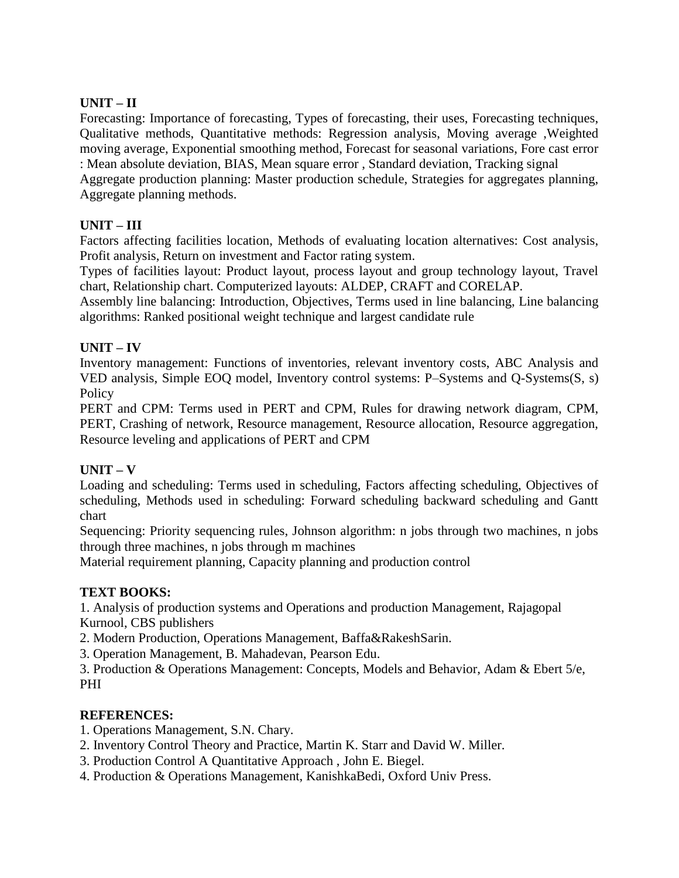# **UNIT – II**

Forecasting: Importance of forecasting, Types of forecasting, their uses, Forecasting techniques, Qualitative methods, Quantitative methods: Regression analysis, Moving average ,Weighted moving average, Exponential smoothing method, Forecast for seasonal variations, Fore cast error : Mean absolute deviation, BIAS, Mean square error , Standard deviation, Tracking signal

Aggregate production planning: Master production schedule, Strategies for aggregates planning, Aggregate planning methods.

# **UNIT – III**

Factors affecting facilities location, Methods of evaluating location alternatives: Cost analysis, Profit analysis, Return on investment and Factor rating system.

Types of facilities layout: Product layout, process layout and group technology layout, Travel chart, Relationship chart. Computerized layouts: ALDEP, CRAFT and CORELAP.

Assembly line balancing: Introduction, Objectives, Terms used in line balancing, Line balancing algorithms: Ranked positional weight technique and largest candidate rule

# **UNIT – IV**

Inventory management: Functions of inventories, relevant inventory costs, ABC Analysis and VED analysis, Simple EOQ model, Inventory control systems: P–Systems and Q-Systems(S, s) **Policy** 

PERT and CPM: Terms used in PERT and CPM, Rules for drawing network diagram, CPM, PERT, Crashing of network, Resource management, Resource allocation, Resource aggregation, Resource leveling and applications of PERT and CPM

# **UNIT – V**

Loading and scheduling: Terms used in scheduling, Factors affecting scheduling, Objectives of scheduling, Methods used in scheduling: Forward scheduling backward scheduling and Gantt chart

Sequencing: Priority sequencing rules, Johnson algorithm: n jobs through two machines, n jobs through three machines, n jobs through m machines

Material requirement planning, Capacity planning and production control

# **TEXT BOOKS:**

1. Analysis of production systems and Operations and production Management, Rajagopal Kurnool, CBS publishers

2. Modern Production, Operations Management, Baffa&RakeshSarin.

3. Operation Management, B. Mahadevan, Pearson Edu.

3. Production & Operations Management: Concepts, Models and Behavior, Adam & Ebert 5/e, PHI

- 1. Operations Management, S.N. Chary.
- 2. Inventory Control Theory and Practice, Martin K. Starr and David W. Miller.
- 3. Production Control A Quantitative Approach , John E. Biegel.
- 4. Production & Operations Management, KanishkaBedi, Oxford Univ Press.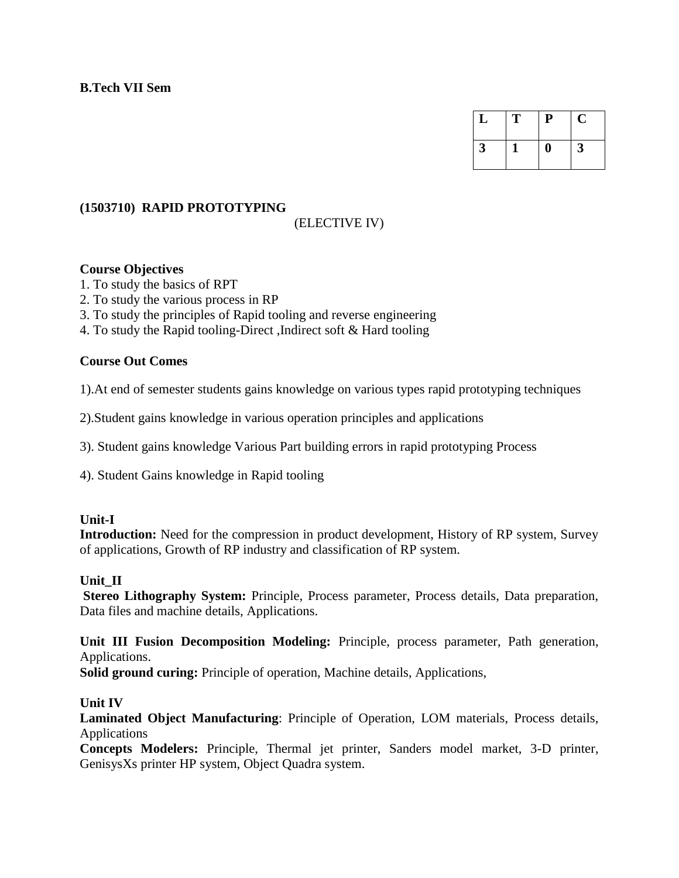| L | T | P | U |
|---|---|---|---|
|   |   |   | 3 |

### **(1503710) RAPID PROTOTYPING**

## (ELECTIVE IV)

### **Course Objectives**

1. To study the basics of RPT

2. To study the various process in RP

3. To study the principles of Rapid tooling and reverse engineering

4. To study the Rapid tooling-Direct ,Indirect soft & Hard tooling

### **Course Out Comes**

1).At end of semester students gains knowledge on various types rapid prototyping techniques

2).Student gains knowledge in various operation principles and applications

3). Student gains knowledge Various Part building errors in rapid prototyping Process

4). Student Gains knowledge in Rapid tooling

### **Unit-I**

**Introduction:** Need for the compression in product development, History of RP system, Survey of applications, Growth of RP industry and classification of RP system.

### **Unit\_II**

**Stereo Lithography System:** Principle, Process parameter, Process details, Data preparation, Data files and machine details, Applications.

**Unit III Fusion Decomposition Modeling:** Principle, process parameter, Path generation, Applications.

**Solid ground curing:** Principle of operation, Machine details, Applications,

### **Unit IV**

**Laminated Object Manufacturing**: Principle of Operation, LOM materials, Process details, Applications

**Concepts Modelers:** Principle, Thermal jet printer, Sanders model market, 3-D printer, GenisysXs printer HP system, Object Quadra system.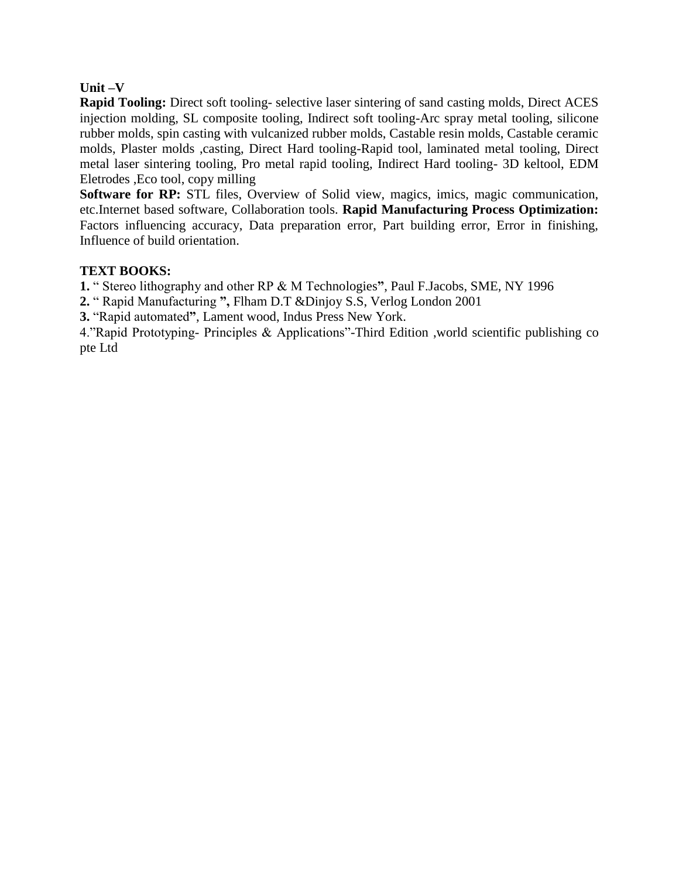### **Unit –V**

**Rapid Tooling:** Direct soft tooling- selective laser sintering of sand casting molds, Direct ACES injection molding, SL composite tooling, Indirect soft tooling-Arc spray metal tooling, silicone rubber molds, spin casting with vulcanized rubber molds, Castable resin molds, Castable ceramic molds, Plaster molds ,casting, Direct Hard tooling-Rapid tool, laminated metal tooling, Direct metal laser sintering tooling, Pro metal rapid tooling, Indirect Hard tooling- 3D keltool, EDM Eletrodes ,Eco tool, copy milling

**Software for RP:** STL files, Overview of Solid view, magics, imics, magic communication, etc.Internet based software, Collaboration tools. **Rapid Manufacturing Process Optimization:**  Factors influencing accuracy, Data preparation error, Part building error, Error in finishing, Influence of build orientation.

## **TEXT BOOKS:**

**1.** " Stereo lithography and other RP & M Technologies**"**, Paul F.Jacobs, SME, NY 1996

**2.** " Rapid Manufacturing **",** Flham D.T &Dinjoy S.S, Verlog London 2001

**3.** "Rapid automated**"**, Lament wood, Indus Press New York.

4."Rapid Prototyping- Principles & Applications"-Third Edition ,world scientific publishing co pte Ltd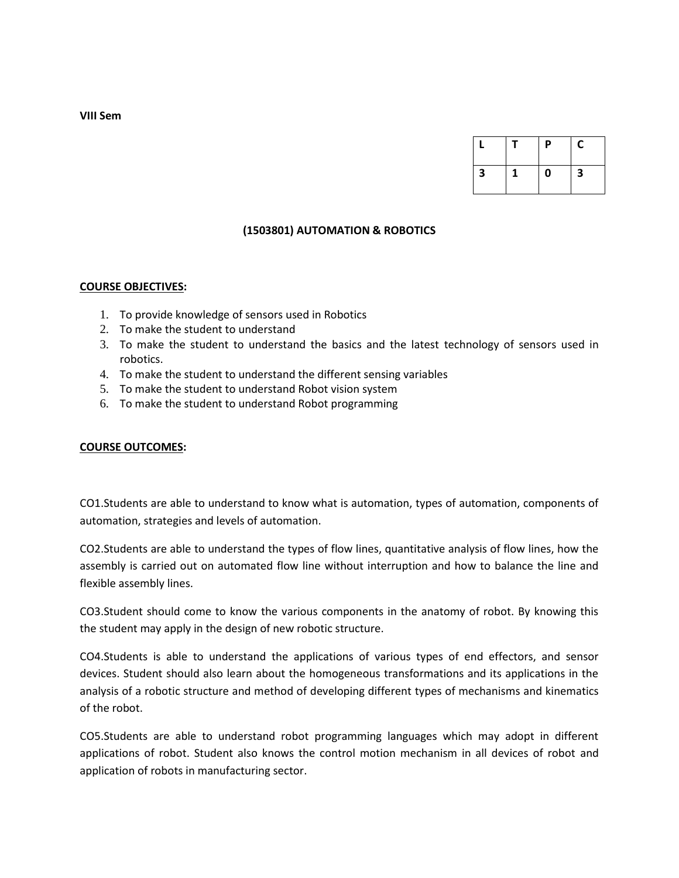|   |  | Ρ | C |
|---|--|---|---|
| 3 |  | 0 | 3 |

### **(1503801) AUTOMATION & ROBOTICS**

#### **COURSE OBJECTIVES:**

- 1. To provide knowledge of sensors used in Robotics
- 2. To make the student to understand
- 3. To make the student to understand the basics and the latest technology of sensors used in robotics.
- 4. To make the student to understand the different sensing variables
- 5. To make the student to understand Robot vision system
- 6. To make the student to understand Robot programming

#### **COURSE OUTCOMES:**

CO1.Students are able to understand to know what is automation, types of automation, components of automation, strategies and levels of automation.

CO2.Students are able to understand the types of flow lines, quantitative analysis of flow lines, how the assembly is carried out on automated flow line without interruption and how to balance the line and flexible assembly lines.

CO3.Student should come to know the various components in the anatomy of robot. By knowing this the student may apply in the design of new robotic structure.

CO4.Students is able to understand the applications of various types of end effectors, and sensor devices. Student should also learn about the homogeneous transformations and its applications in the analysis of a robotic structure and method of developing different types of mechanisms and kinematics of the robot.

CO5.Students are able to understand robot programming languages which may adopt in different applications of robot. Student also knows the control motion mechanism in all devices of robot and application of robots in manufacturing sector.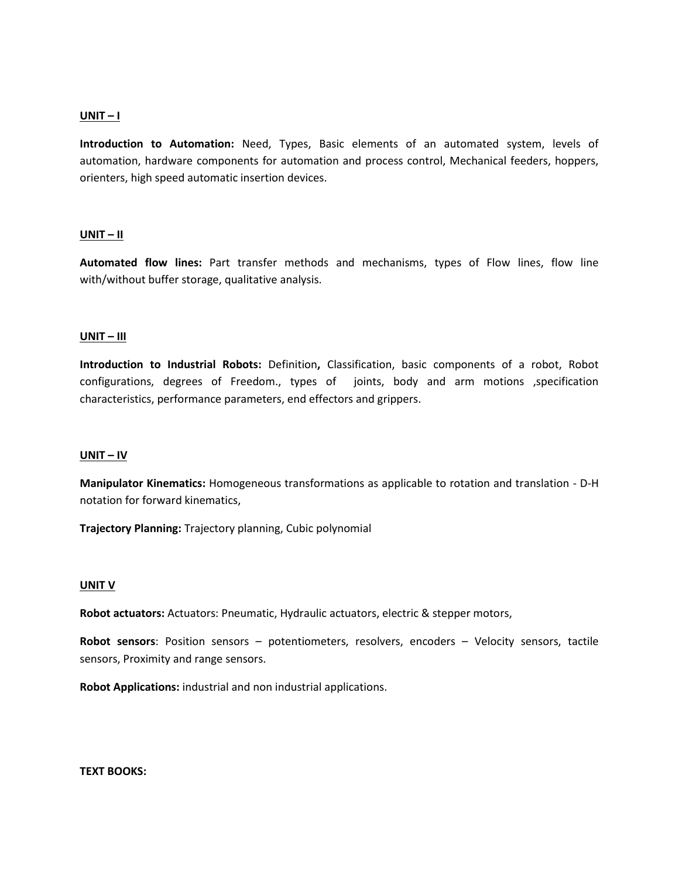### **UNIT – I**

**Introduction to Automation:** Need, Types, Basic elements of an automated system, levels of automation, hardware components for automation and process control, Mechanical feeders, hoppers, orienters, high speed automatic insertion devices.

#### **UNIT – II**

**Automated flow lines:** Part transfer methods and mechanisms, types of Flow lines, flow line with/without buffer storage, qualitative analysis.

### **UNIT – III**

**Introduction to Industrial Robots:** Definition**,** Classification, basic components of a robot, Robot configurations, degrees of Freedom., types of joints, body and arm motions ,specification characteristics, performance parameters, end effectors and grippers.

#### **UNIT – IV**

**Manipulator Kinematics:** Homogeneous transformations as applicable to rotation and translation - D-H notation for forward kinematics,

**Trajectory Planning:** Trajectory planning, Cubic polynomial

#### **UNIT V**

**Robot actuators:** Actuators: Pneumatic, Hydraulic actuators, electric & stepper motors,

**Robot sensors**: Position sensors – potentiometers, resolvers, encoders – Velocity sensors, tactile sensors, Proximity and range sensors.

**Robot Applications:** industrial and non industrial applications.

**TEXT BOOKS:**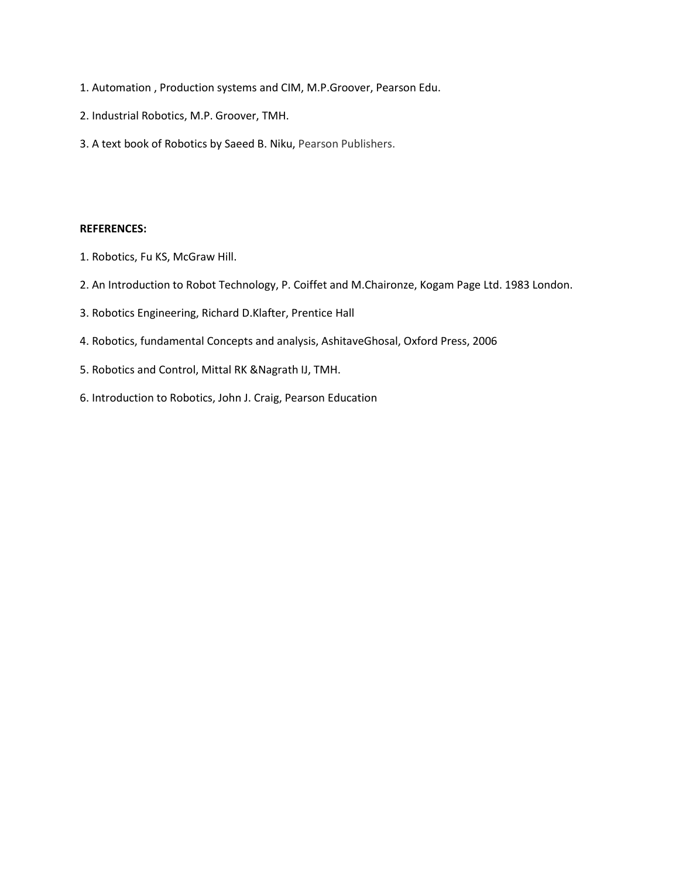- 1. Automation , Production systems and CIM, M.P.Groover, Pearson Edu.
- 2. Industrial Robotics, M.P. Groover, TMH.
- 3. A text book of Robotics by Saeed B. Niku, Pearson Publishers.

- 1. Robotics, Fu KS, McGraw Hill.
- 2. An Introduction to Robot Technology, P. Coiffet and M.Chaironze, Kogam Page Ltd. 1983 London.
- 3. Robotics Engineering, Richard D.Klafter, Prentice Hall
- 4. Robotics, fundamental Concepts and analysis, AshitaveGhosal, Oxford Press, 2006
- 5. Robotics and Control, Mittal RK &Nagrath IJ, TMH.
- 6. Introduction to Robotics, John J. Craig, Pearson Education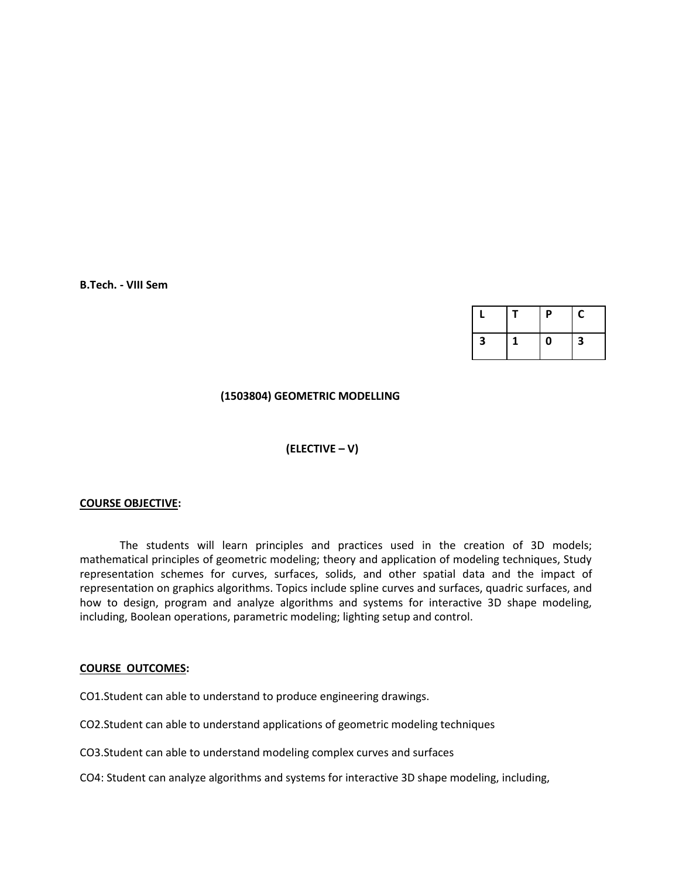**B.Tech. - VIII Sem**

|   | P         | С |
|---|-----------|---|
| 3 | $\pmb{0}$ | 3 |

### **(1503804) GEOMETRIC MODELLING**

### **(ELECTIVE – V)**

#### **COURSE OBJECTIVE:**

The students will learn principles and practices used in the creation of 3D models; mathematical principles of geometric modeling; theory and application of modeling techniques, Study representation schemes for curves, surfaces, solids, and other spatial data and the impact of representation on graphics algorithms. Topics include spline curves and surfaces, quadric surfaces, and how to design, program and analyze algorithms and systems for interactive 3D shape modeling, including, Boolean operations, parametric modeling; lighting setup and control.

#### **COURSE OUTCOMES:**

CO1.Student can able to understand to produce engineering drawings.

CO2.Student can able to understand applications of geometric modeling techniques

CO3.Student can able to understand modeling complex curves and surfaces

CO4: Student can analyze algorithms and systems for interactive 3D shape modeling, including,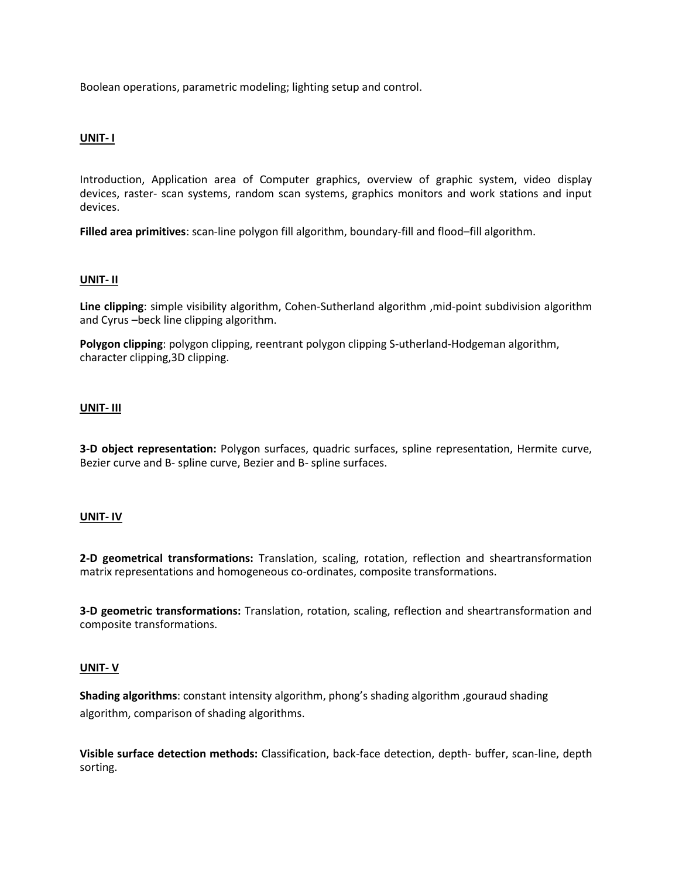Boolean operations, parametric modeling; lighting setup and control.

### **UNIT- I**

Introduction, Application area of Computer graphics, overview of graphic system, video display devices, raster- scan systems, random scan systems, graphics monitors and work stations and input devices.

**Filled area primitives**: scan-line polygon fill algorithm, boundary-fill and flood–fill algorithm.

### **UNIT- II**

**Line clipping**: simple visibility algorithm, Cohen-Sutherland algorithm ,mid-point subdivision algorithm and Cyrus –beck line clipping algorithm.

**Polygon clipping**: polygon clipping, reentrant polygon clipping S-utherland-Hodgeman algorithm, character clipping,3D clipping.

### **UNIT- III**

**3-D object representation:** Polygon surfaces, quadric surfaces, spline representation, Hermite curve, Bezier curve and B- spline curve, Bezier and B- spline surfaces.

#### **UNIT- IV**

**2-D geometrical transformations:** Translation, scaling, rotation, reflection and sheartransformation matrix representations and homogeneous co-ordinates, composite transformations.

**3-D geometric transformations:** Translation, rotation, scaling, reflection and sheartransformation and composite transformations.

#### **UNIT- V**

**Shading algorithms**: constant intensity algorithm, phong's shading algorithm ,gouraud shading algorithm, comparison of shading algorithms.

**Visible surface detection methods:** Classification, back-face detection, depth- buffer, scan-line, depth sorting.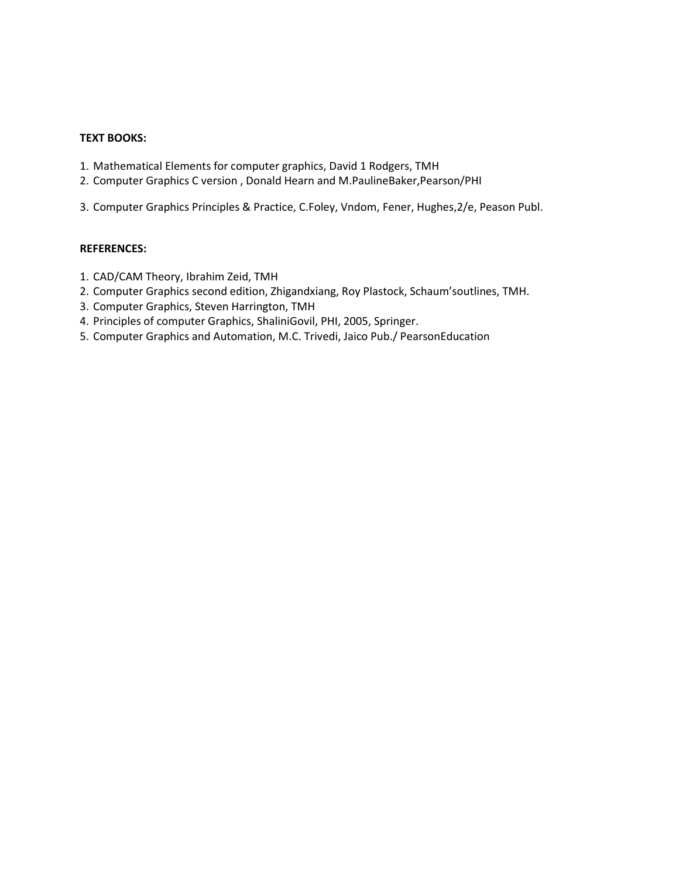### **TEXT BOOKS:**

- 1. Mathematical Elements for computer graphics, David 1 Rodgers, TMH
- 2. Computer Graphics C version , Donald Hearn and M.PaulineBaker,Pearson/PHI
- 3. Computer Graphics Principles & Practice, C.Foley, Vndom, Fener, Hughes,2/e, Peason Publ.

- 1. CAD/CAM Theory, Ibrahim Zeid, TMH
- 2. Computer Graphics second edition, Zhigandxiang, Roy Plastock, Schaum'soutlines, TMH.
- 3. Computer Graphics, Steven Harrington, TMH
- 4. Principles of computer Graphics, ShaliniGovil, PHI, 2005, Springer.
- 5. Computer Graphics and Automation, M.C. Trivedi, Jaico Pub./ PearsonEducation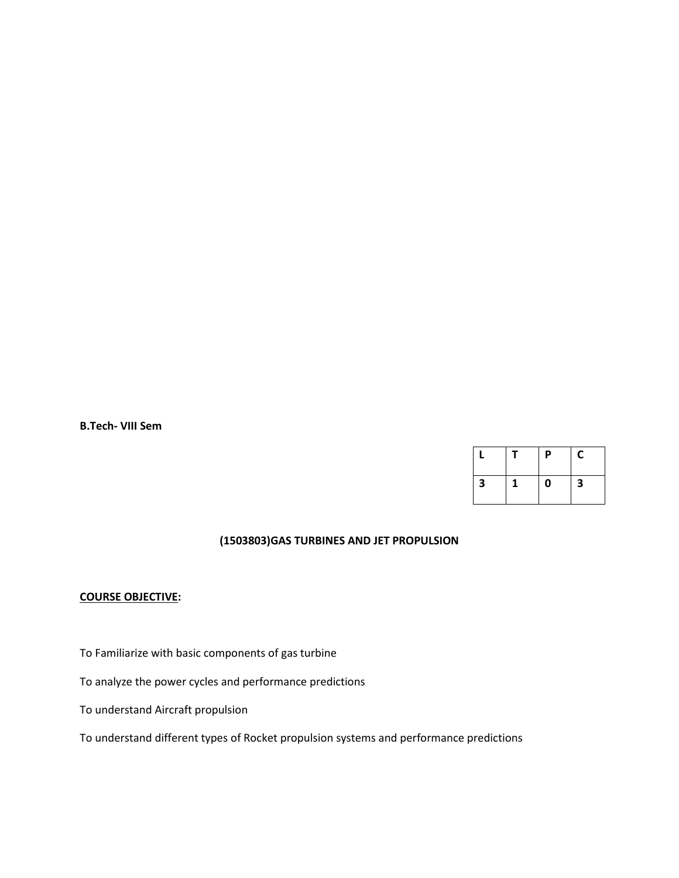**B.Tech- VIII Sem**

|   |   | P | C |
|---|---|---|---|
| 3 | 1 | 0 | 3 |

# **(1503803)GAS TURBINES AND JET PROPULSION**

### **COURSE OBJECTIVE:**

To Familiarize with basic components of gas turbine

To analyze the power cycles and performance predictions

To understand Aircraft propulsion

To understand different types of Rocket propulsion systems and performance predictions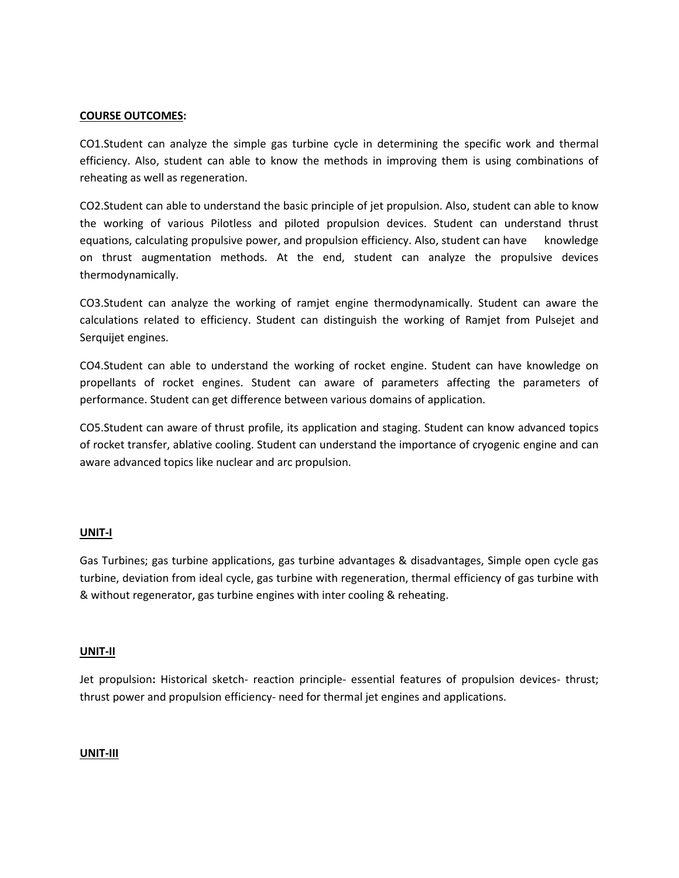### **COURSE OUTCOMES:**

CO1.Student can analyze the simple gas turbine cycle in determining the specific work and thermal efficiency. Also, student can able to know the methods in improving them is using combinations of reheating as well as regeneration.

CO2.Student can able to understand the basic principle of jet propulsion. Also, student can able to know the working of various Pilotless and piloted propulsion devices. Student can understand thrust equations, calculating propulsive power, and propulsion efficiency. Also, student can have knowledge on thrust augmentation methods. At the end, student can analyze the propulsive devices thermodynamically.

CO3.Student can analyze the working of ramjet engine thermodynamically. Student can aware the calculations related to efficiency. Student can distinguish the working of Ramjet from Pulsejet and Serquijet engines.

CO4.Student can able to understand the working of rocket engine. Student can have knowledge on propellants of rocket engines. Student can aware of parameters affecting the parameters of performance. Student can get difference between various domains of application.

CO5.Student can aware of thrust profile, its application and staging. Student can know advanced topics of rocket transfer, ablative cooling. Student can understand the importance of cryogenic engine and can aware advanced topics like nuclear and arc propulsion.

### **UNIT-I**

Gas Turbines; gas turbine applications, gas turbine advantages & disadvantages, Simple open cycle gas turbine, deviation from ideal cycle, gas turbine with regeneration, thermal efficiency of gas turbine with & without regenerator, gas turbine engines with inter cooling & reheating.

#### **UNIT-II**

Jet propulsion**:** Historical sketch- reaction principle- essential features of propulsion devices- thrust; thrust power and propulsion efficiency- need for thermal jet engines and applications.

#### **UNIT-III**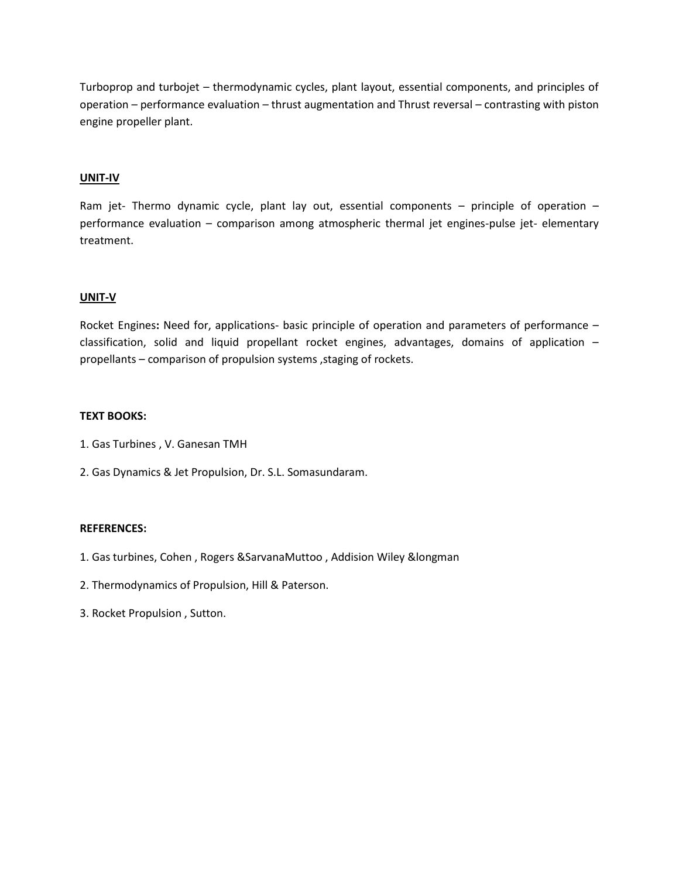Turboprop and turbojet – thermodynamic cycles, plant layout, essential components, and principles of operation – performance evaluation – thrust augmentation and Thrust reversal – contrasting with piston engine propeller plant.

### **UNIT-IV**

Ram jet- Thermo dynamic cycle, plant lay out, essential components – principle of operation – performance evaluation – comparison among atmospheric thermal jet engines-pulse jet- elementary treatment.

### **UNIT-V**

Rocket Engines**:** Need for, applications- basic principle of operation and parameters of performance – classification, solid and liquid propellant rocket engines, advantages, domains of application – propellants – comparison of propulsion systems , staging of rockets.

### **TEXT BOOKS:**

- 1. Gas Turbines , V. Ganesan TMH
- 2. Gas Dynamics & Jet Propulsion, Dr. S.L. Somasundaram.

- 1. Gas turbines, Cohen , Rogers &SarvanaMuttoo , Addision Wiley &longman
- 2. Thermodynamics of Propulsion, Hill & Paterson.
- 3. Rocket Propulsion , Sutton.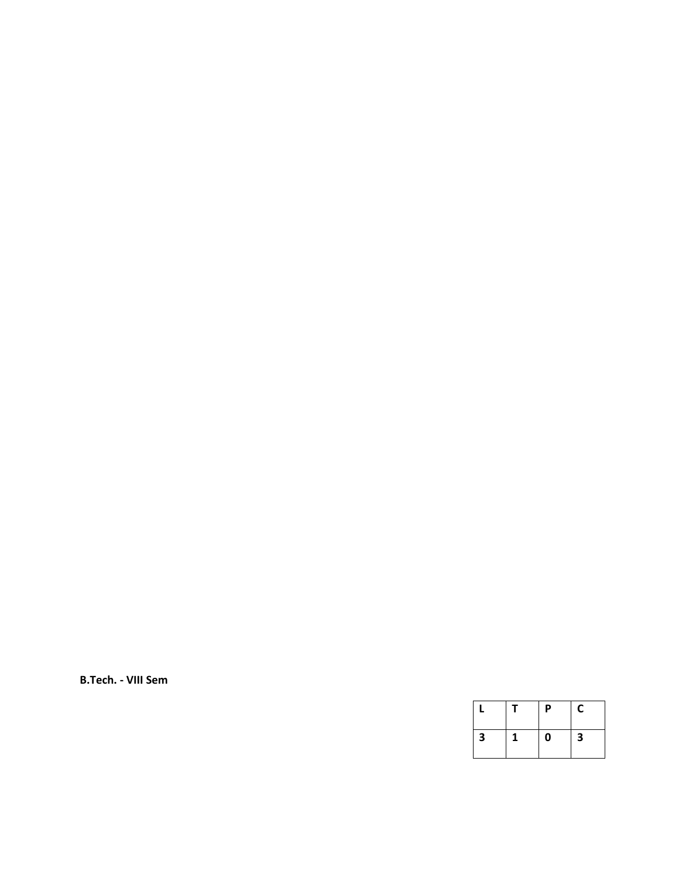**B.Tech. - VIII Sem**

|   | P | C |
|---|---|---|
| 3 | 0 | З |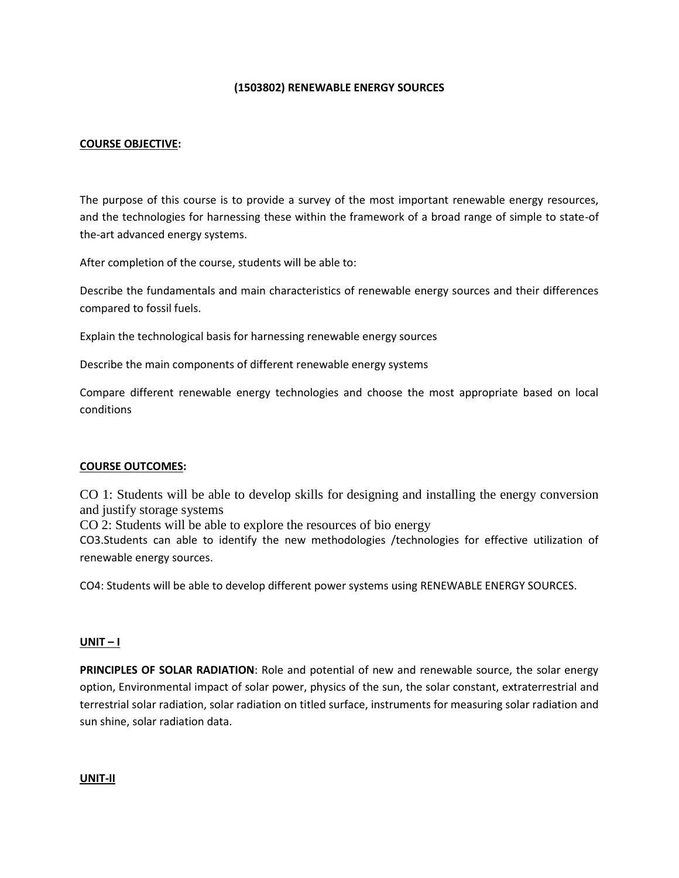### **(1503802) RENEWABLE ENERGY SOURCES**

### **COURSE OBJECTIVE:**

The purpose of this course is to provide a survey of the most important renewable energy resources, and the technologies for harnessing these within the framework of a broad range of simple to state-of the-art advanced energy systems.

After completion of the course, students will be able to:

Describe the fundamentals and main characteristics of renewable energy sources and their differences compared to fossil fuels.

Explain the technological basis for harnessing renewable energy sources

Describe the main components of different renewable energy systems

Compare different renewable energy technologies and choose the most appropriate based on local conditions

#### **COURSE OUTCOMES:**

CO 1: Students will be able to develop skills for designing and installing the energy conversion and justify storage systems

CO 2: Students will be able to explore the resources of bio energy

CO3.Students can able to identify the new methodologies /technologies for effective utilization of renewable energy sources.

CO4: Students will be able to develop different power systems using RENEWABLE ENERGY SOURCES.

#### **UNIT – I**

**PRINCIPLES OF SOLAR RADIATION**: Role and potential of new and renewable source, the solar energy option, Environmental impact of solar power, physics of the sun, the solar constant, extraterrestrial and terrestrial solar radiation, solar radiation on titled surface, instruments for measuring solar radiation and sun shine, solar radiation data.

**UNIT-II**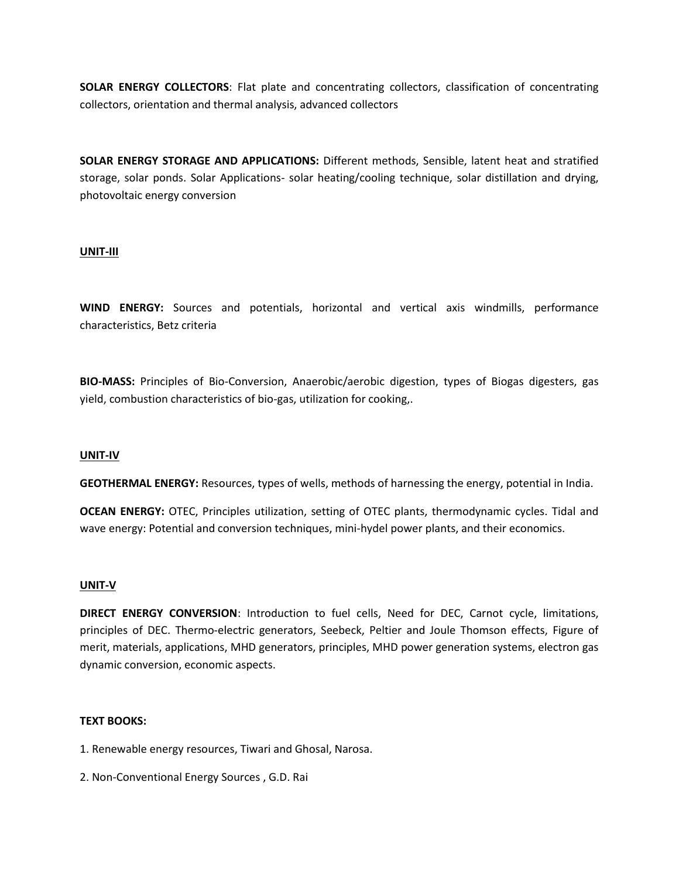**SOLAR ENERGY COLLECTORS**: Flat plate and concentrating collectors, classification of concentrating collectors, orientation and thermal analysis, advanced collectors

**SOLAR ENERGY STORAGE AND APPLICATIONS:** Different methods, Sensible, latent heat and stratified storage, solar ponds. Solar Applications- solar heating/cooling technique, solar distillation and drying, photovoltaic energy conversion

### **UNIT-III**

**WIND ENERGY:** Sources and potentials, horizontal and vertical axis windmills, performance characteristics, Betz criteria

**BIO-MASS:** Principles of Bio-Conversion, Anaerobic/aerobic digestion, types of Biogas digesters, gas yield, combustion characteristics of bio-gas, utilization for cooking,.

#### **UNIT-IV**

**GEOTHERMAL ENERGY:** Resources, types of wells, methods of harnessing the energy, potential in India.

**OCEAN ENERGY:** OTEC, Principles utilization, setting of OTEC plants, thermodynamic cycles. Tidal and wave energy: Potential and conversion techniques, mini-hydel power plants, and their economics.

#### **UNIT-V**

**DIRECT ENERGY CONVERSION**: Introduction to fuel cells, Need for DEC, Carnot cycle, limitations, principles of DEC. Thermo-electric generators, Seebeck, Peltier and Joule Thomson effects, Figure of merit, materials, applications, MHD generators, principles, MHD power generation systems, electron gas dynamic conversion, economic aspects.

### **TEXT BOOKS:**

- 1. Renewable energy resources, Tiwari and Ghosal, Narosa.
- 2. Non-Conventional Energy Sources , G.D. Rai